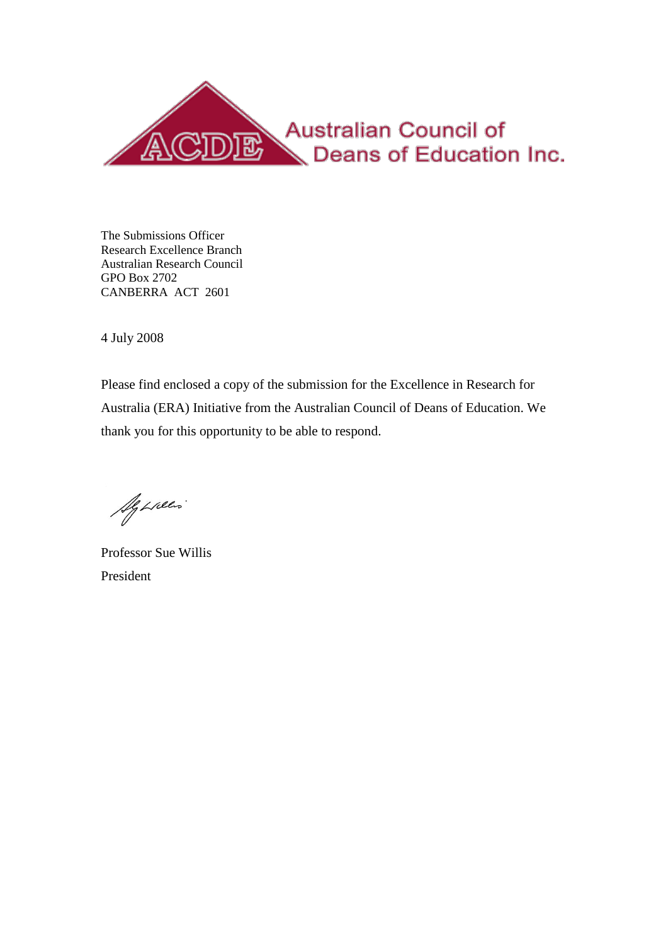

The Submissions Officer Research Excellence Branch Australian Research Council GPO Box 2702 CANBERRA ACT 2601

4 July 2008

Please find enclosed a copy of the submission for the Excellence in Research for Australia (ERA) Initiative from the Australian Council of Deans of Education. We thank you for this opportunity to be able to respond.

Aguació

Professor Sue Willis President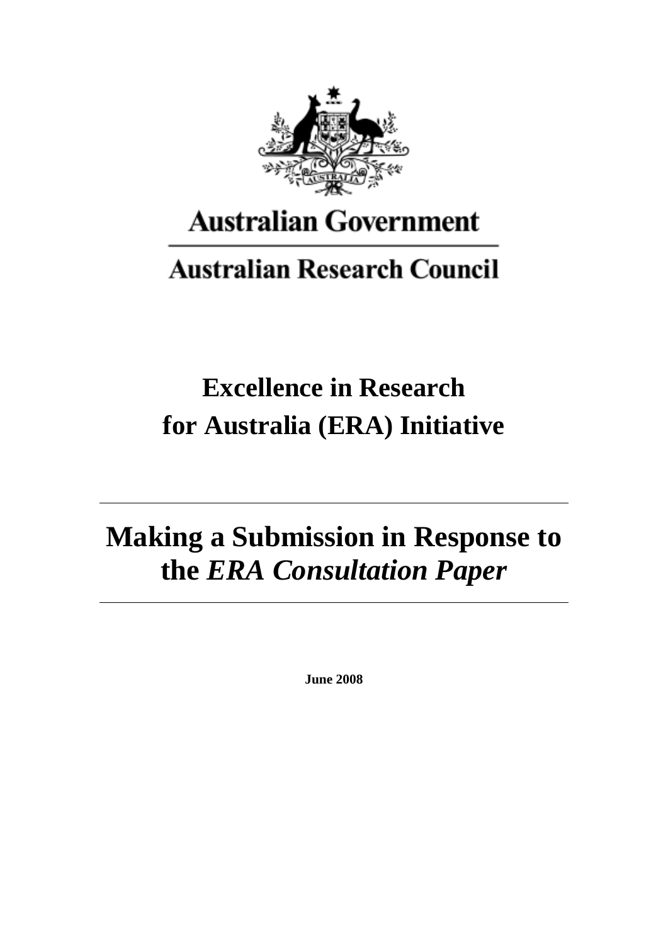

## **Australian Government**

## **Australian Research Council**

## **Excellence in Research for Australia (ERA) Initiative**

# **Making a Submission in Response to the** *ERA Consultation Paper*

**June 2008**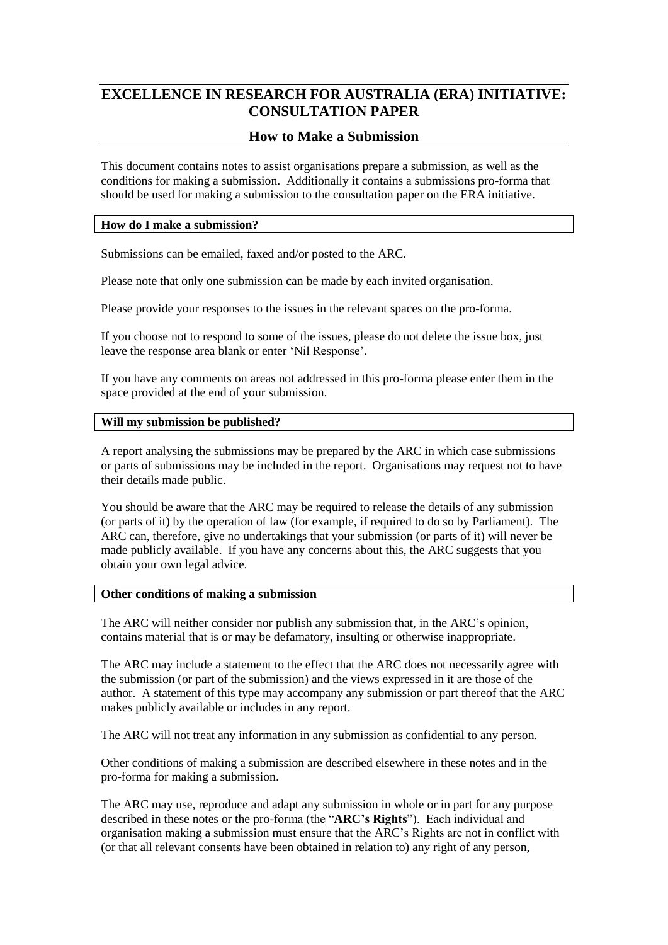## **EXCELLENCE IN RESEARCH FOR AUSTRALIA (ERA) INITIATIVE: CONSULTATION PAPER**

### **How to Make a Submission**

This document contains notes to assist organisations prepare a submission, as well as the conditions for making a submission. Additionally it contains a submissions pro-forma that should be used for making a submission to the consultation paper on the ERA initiative.

#### **How do I make a submission?**

Submissions can be emailed, faxed and/or posted to the ARC.

Please note that only one submission can be made by each invited organisation.

Please provide your responses to the issues in the relevant spaces on the pro-forma.

If you choose not to respond to some of the issues, please do not delete the issue box, just leave the response area blank or enter "Nil Response".

If you have any comments on areas not addressed in this pro-forma please enter them in the space provided at the end of your submission.

#### **Will my submission be published?**

A report analysing the submissions may be prepared by the ARC in which case submissions or parts of submissions may be included in the report. Organisations may request not to have their details made public.

You should be aware that the ARC may be required to release the details of any submission (or parts of it) by the operation of law (for example, if required to do so by Parliament). The ARC can, therefore, give no undertakings that your submission (or parts of it) will never be made publicly available. If you have any concerns about this, the ARC suggests that you obtain your own legal advice.

#### **Other conditions of making a submission**

The ARC will neither consider nor publish any submission that, in the ARC"s opinion, contains material that is or may be defamatory, insulting or otherwise inappropriate.

The ARC may include a statement to the effect that the ARC does not necessarily agree with the submission (or part of the submission) and the views expressed in it are those of the author. A statement of this type may accompany any submission or part thereof that the ARC makes publicly available or includes in any report.

The ARC will not treat any information in any submission as confidential to any person.

Other conditions of making a submission are described elsewhere in these notes and in the pro-forma for making a submission.

The ARC may use, reproduce and adapt any submission in whole or in part for any purpose described in these notes or the pro-forma (the "**ARC's Rights**"). Each individual and organisation making a submission must ensure that the ARC"s Rights are not in conflict with (or that all relevant consents have been obtained in relation to) any right of any person,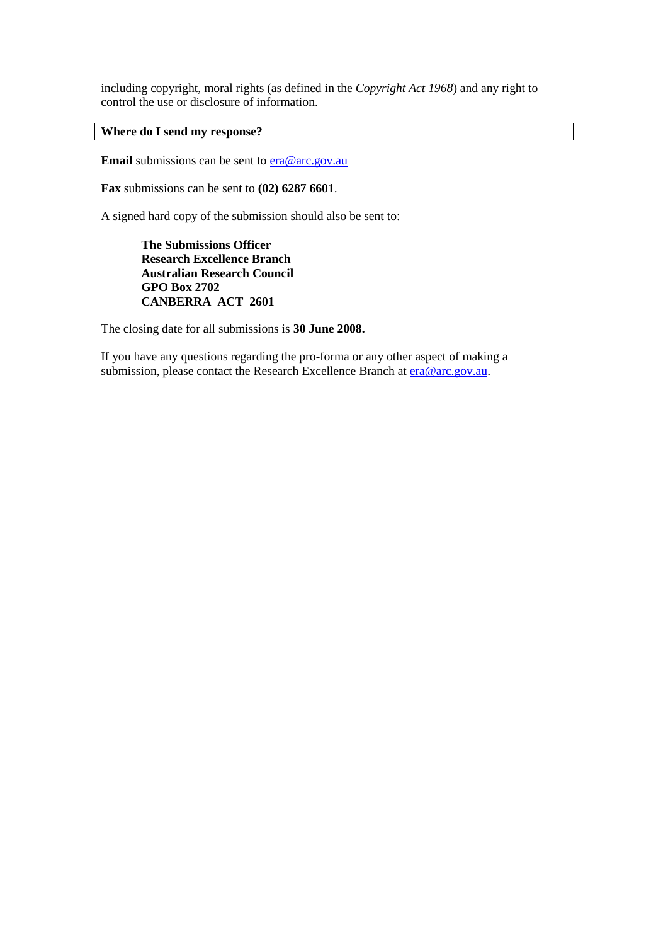including copyright, moral rights (as defined in the *Copyright Act 1968*) and any right to control the use or disclosure of information.

#### **Where do I send my response?**

**Email** submissions can be sent to [era@arc.gov.au](mailto:era@arc.gov.au)

**Fax** submissions can be sent to **(02) 6287 6601**.

A signed hard copy of the submission should also be sent to:

**The Submissions Officer Research Excellence Branch Australian Research Council GPO Box 2702 CANBERRA ACT 2601**

The closing date for all submissions is **30 June 2008.**

If you have any questions regarding the pro-forma or any other aspect of making a submission, please contact the Research Excellence Branch at [era@arc.gov.au.](mailto:era@arc.gov.au)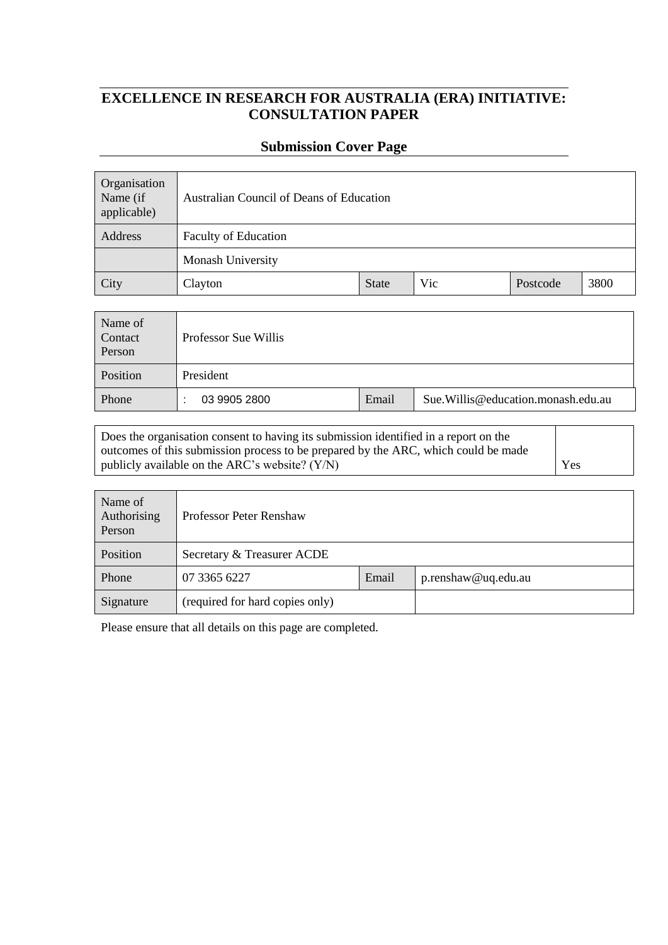## **EXCELLENCE IN RESEARCH FOR AUSTRALIA (ERA) INITIATIVE: CONSULTATION PAPER**

#### **Submission Cover Page**

| Organisation<br>Name (if<br>applicable) | Australian Council of Deans of Education |              |     |          |      |  |
|-----------------------------------------|------------------------------------------|--------------|-----|----------|------|--|
| Address                                 | <b>Faculty of Education</b>              |              |     |          |      |  |
|                                         | Monash University                        |              |     |          |      |  |
| City                                    | Clayton                                  | <b>State</b> | Vic | Postcode | 3800 |  |

| Name of<br>Contact<br>Person | Professor Sue Willis |       |                                          |  |  |
|------------------------------|----------------------|-------|------------------------------------------|--|--|
| Position                     | President            |       |                                          |  |  |
| Phone                        | 03 9905 2800         | Email | Sue. Willis @ education. monash. edu. au |  |  |

Does the organisation consent to having its submission identified in a report on the outcomes of this submission process to be prepared by the ARC, which could be made publicly available on the ARC's website?  $(Y/N)$  Yes

| Name of<br>Authorising<br>Person | Professor Peter Renshaw         |       |                     |  |
|----------------------------------|---------------------------------|-------|---------------------|--|
| Position                         | Secretary & Treasurer ACDE      |       |                     |  |
| Phone                            | 07 3365 6227                    | Email | p.renshaw@uq.edu.au |  |
| Signature                        | (required for hard copies only) |       |                     |  |

Please ensure that all details on this page are completed.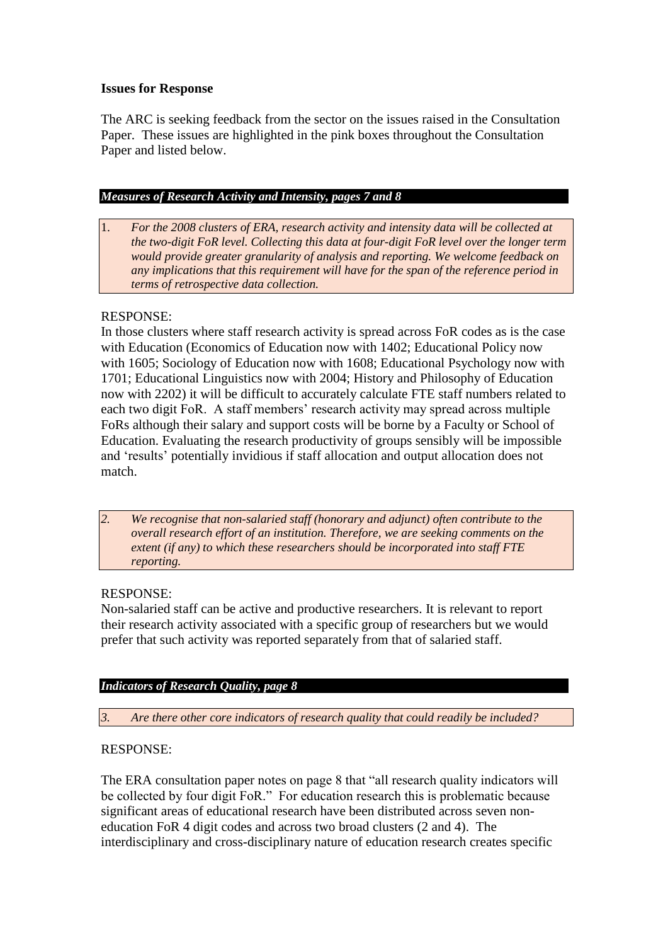### **Issues for Response**

The ARC is seeking feedback from the sector on the issues raised in the Consultation Paper. These issues are highlighted in the pink boxes throughout the Consultation Paper and listed below.

#### *Measures of Research Activity and Intensity, pages 7 and 8*

1. *For the 2008 clusters of ERA, research activity and intensity data will be collected at the two-digit FoR level. Collecting this data at four-digit FoR level over the longer term would provide greater granularity of analysis and reporting. We welcome feedback on any implications that this requirement will have for the span of the reference period in terms of retrospective data collection.*

## RESPONSE:

In those clusters where staff research activity is spread across FoR codes as is the case with Education (Economics of Education now with 1402; Educational Policy now with 1605; Sociology of Education now with 1608; Educational Psychology now with 1701; Educational Linguistics now with 2004; History and Philosophy of Education now with 2202) it will be difficult to accurately calculate FTE staff numbers related to each two digit FoR. A staff members' research activity may spread across multiple FoRs although their salary and support costs will be borne by a Faculty or School of Education. Evaluating the research productivity of groups sensibly will be impossible and "results" potentially invidious if staff allocation and output allocation does not match.

*2. We recognise that non-salaried staff (honorary and adjunct) often contribute to the overall research effort of an institution. Therefore, we are seeking comments on the extent (if any) to which these researchers should be incorporated into staff FTE reporting.*

## RESPONSE:

Non-salaried staff can be active and productive researchers. It is relevant to report their research activity associated with a specific group of researchers but we would prefer that such activity was reported separately from that of salaried staff.

## *Indicators of Research Quality, page 8*

*3. Are there other core indicators of research quality that could readily be included?*

## RESPONSE:

The ERA consultation paper notes on page 8 that "all research quality indicators will be collected by four digit FoR." For education research this is problematic because significant areas of educational research have been distributed across seven noneducation FoR 4 digit codes and across two broad clusters (2 and 4). The interdisciplinary and cross-disciplinary nature of education research creates specific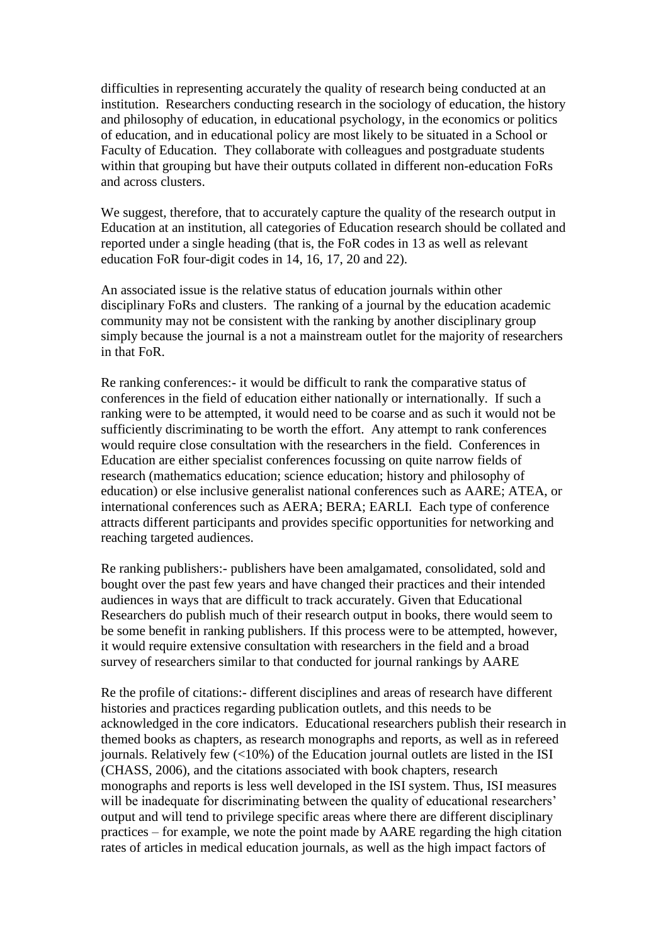difficulties in representing accurately the quality of research being conducted at an institution. Researchers conducting research in the sociology of education, the history and philosophy of education, in educational psychology, in the economics or politics of education, and in educational policy are most likely to be situated in a School or Faculty of Education. They collaborate with colleagues and postgraduate students within that grouping but have their outputs collated in different non-education FoRs and across clusters.

We suggest, therefore, that to accurately capture the quality of the research output in Education at an institution, all categories of Education research should be collated and reported under a single heading (that is, the FoR codes in 13 as well as relevant education FoR four-digit codes in 14, 16, 17, 20 and 22).

An associated issue is the relative status of education journals within other disciplinary FoRs and clusters. The ranking of a journal by the education academic community may not be consistent with the ranking by another disciplinary group simply because the journal is a not a mainstream outlet for the majority of researchers in that FoR.

Re ranking conferences:- it would be difficult to rank the comparative status of conferences in the field of education either nationally or internationally. If such a ranking were to be attempted, it would need to be coarse and as such it would not be sufficiently discriminating to be worth the effort. Any attempt to rank conferences would require close consultation with the researchers in the field. Conferences in Education are either specialist conferences focussing on quite narrow fields of research (mathematics education; science education; history and philosophy of education) or else inclusive generalist national conferences such as AARE; ATEA, or international conferences such as AERA; BERA; EARLI. Each type of conference attracts different participants and provides specific opportunities for networking and reaching targeted audiences.

Re ranking publishers:- publishers have been amalgamated, consolidated, sold and bought over the past few years and have changed their practices and their intended audiences in ways that are difficult to track accurately. Given that Educational Researchers do publish much of their research output in books, there would seem to be some benefit in ranking publishers. If this process were to be attempted, however, it would require extensive consultation with researchers in the field and a broad survey of researchers similar to that conducted for journal rankings by AARE

Re the profile of citations:- different disciplines and areas of research have different histories and practices regarding publication outlets, and this needs to be acknowledged in the core indicators. Educational researchers publish their research in themed books as chapters, as research monographs and reports, as well as in refereed journals. Relatively few (<10%) of the Education journal outlets are listed in the ISI (CHASS, 2006), and the citations associated with book chapters, research monographs and reports is less well developed in the ISI system. Thus, ISI measures will be inadequate for discriminating between the quality of educational researchers' output and will tend to privilege specific areas where there are different disciplinary practices – for example, we note the point made by AARE regarding the high citation rates of articles in medical education journals, as well as the high impact factors of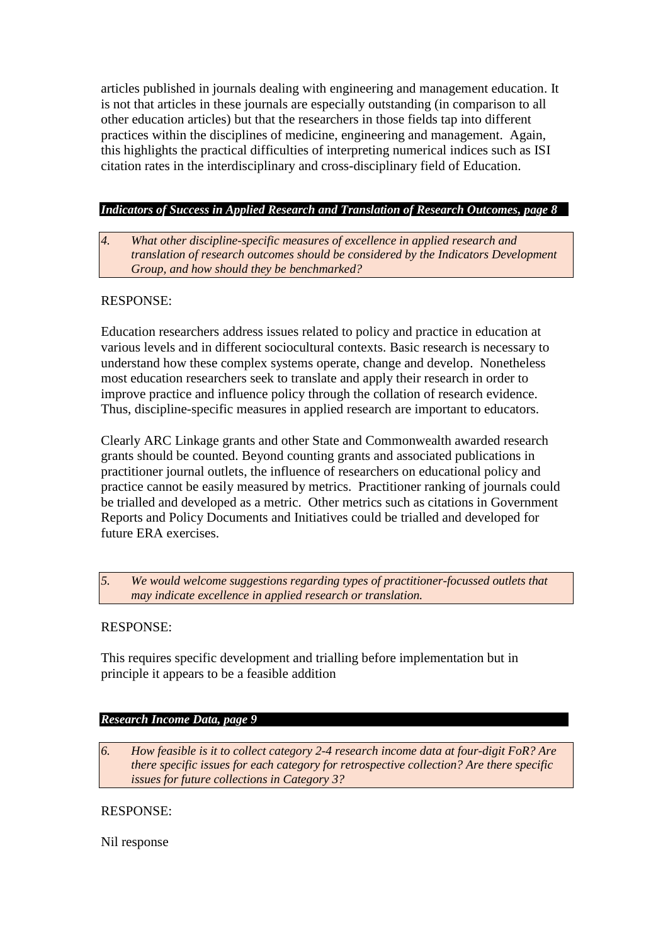articles published in journals dealing with engineering and management education. It is not that articles in these journals are especially outstanding (in comparison to all other education articles) but that the researchers in those fields tap into different practices within the disciplines of medicine, engineering and management. Again, this highlights the practical difficulties of interpreting numerical indices such as ISI citation rates in the interdisciplinary and cross-disciplinary field of Education.

### *Indicators of Success in Applied Research and Translation of Research Outcomes, page 8*

*4. What other discipline-specific measures of excellence in applied research and translation of research outcomes should be considered by the Indicators Development Group, and how should they be benchmarked?*

#### RESPONSE:

Education researchers address issues related to policy and practice in education at various levels and in different sociocultural contexts. Basic research is necessary to understand how these complex systems operate, change and develop. Nonetheless most education researchers seek to translate and apply their research in order to improve practice and influence policy through the collation of research evidence. Thus, discipline-specific measures in applied research are important to educators.

Clearly ARC Linkage grants and other State and Commonwealth awarded research grants should be counted. Beyond counting grants and associated publications in practitioner journal outlets, the influence of researchers on educational policy and practice cannot be easily measured by metrics. Practitioner ranking of journals could be trialled and developed as a metric. Other metrics such as citations in Government Reports and Policy Documents and Initiatives could be trialled and developed for future ERA exercises.

*5. We would welcome suggestions regarding types of practitioner-focussed outlets that may indicate excellence in applied research or translation.*

#### RESPONSE:

This requires specific development and trialling before implementation but in principle it appears to be a feasible addition

#### *Research Income Data, page 9*

*6. How feasible is it to collect category 2-4 research income data at four-digit FoR? Are there specific issues for each category for retrospective collection? Are there specific issues for future collections in Category 3?*

#### RESPONSE:

Nil response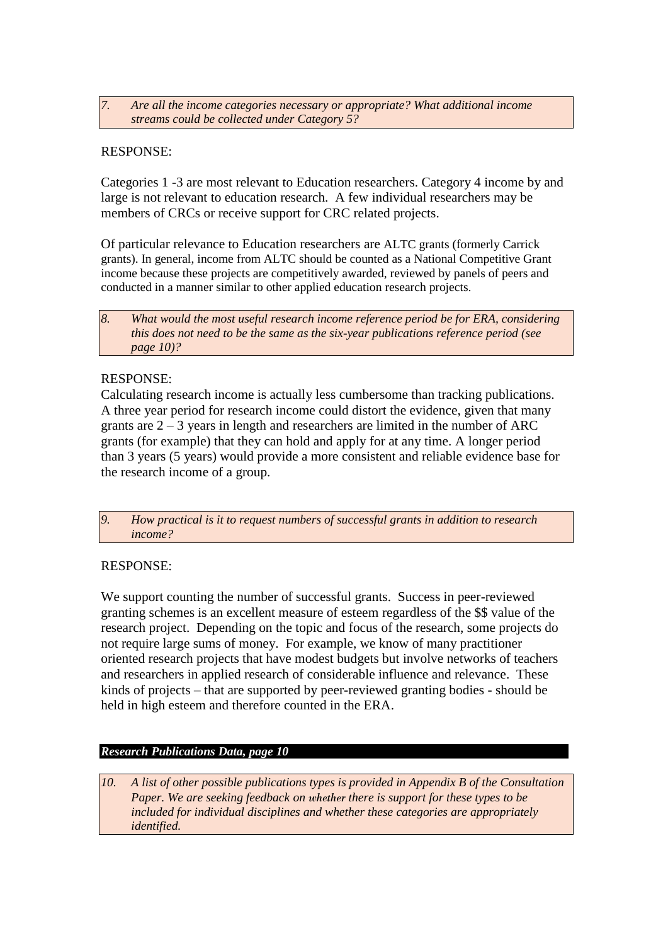*7. Are all the income categories necessary or appropriate? What additional income streams could be collected under Category 5?*

### RESPONSE:

Categories 1 -3 are most relevant to Education researchers. Category 4 income by and large is not relevant to education research. A few individual researchers may be members of CRCs or receive support for CRC related projects.

Of particular relevance to Education researchers are ALTC grants (formerly Carrick grants). In general, income from ALTC should be counted as a National Competitive Grant income because these projects are competitively awarded, reviewed by panels of peers and conducted in a manner similar to other applied education research projects.

#### RESPONSE:

Calculating research income is actually less cumbersome than tracking publications. A three year period for research income could distort the evidence, given that many grants are  $2 - 3$  years in length and researchers are limited in the number of ARC grants (for example) that they can hold and apply for at any time. A longer period than 3 years (5 years) would provide a more consistent and reliable evidence base for the research income of a group.

*9. How practical is it to request numbers of successful grants in addition to research income?*

#### RESPONSE:

We support counting the number of successful grants. Success in peer-reviewed granting schemes is an excellent measure of esteem regardless of the \$\$ value of the research project. Depending on the topic and focus of the research, some projects do not require large sums of money. For example, we know of many practitioner oriented research projects that have modest budgets but involve networks of teachers and researchers in applied research of considerable influence and relevance. These kinds of projects – that are supported by peer-reviewed granting bodies - should be held in high esteem and therefore counted in the ERA.

#### *Research Publications Data, page 10*

*10. A list of other possible publications types is provided in Appendix B of the Consultation Paper. We are seeking feedback on whether there is support for these types to be included for individual disciplines and whether these categories are appropriately identified.*

*<sup>8.</sup> What would the most useful research income reference period be for ERA, considering this does not need to be the same as the six-year publications reference period (see page 10)?*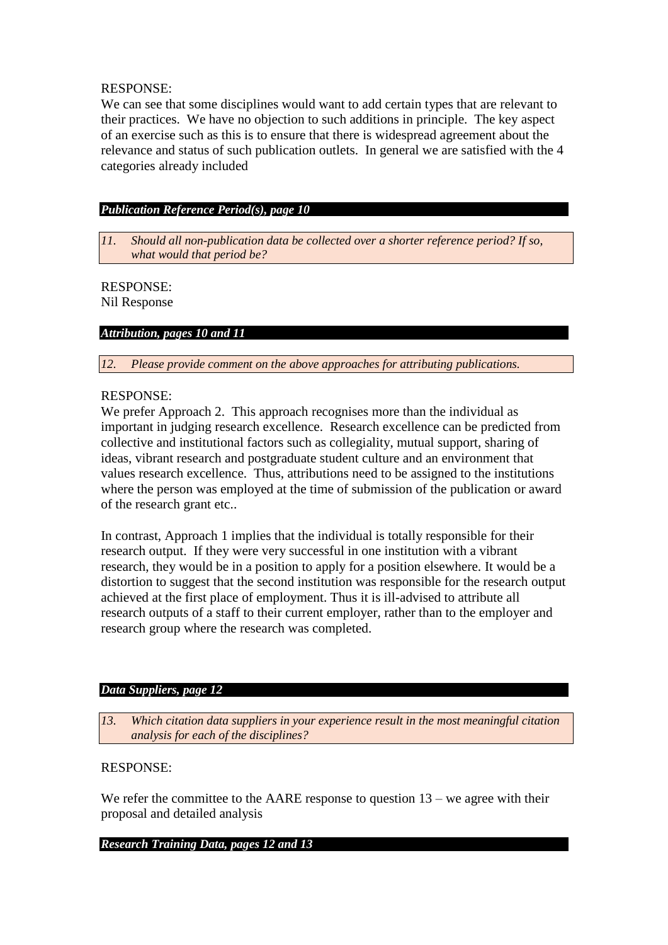### RESPONSE:

We can see that some disciplines would want to add certain types that are relevant to their practices. We have no objection to such additions in principle. The key aspect of an exercise such as this is to ensure that there is widespread agreement about the relevance and status of such publication outlets. In general we are satisfied with the 4 categories already included

### *Publication Reference Period(s), page 10*

*11. Should all non-publication data be collected over a shorter reference period? If so, what would that period be?*

## RESPONSE:

Nil Response

### *Attribution, pages 10 and 11*

*12. Please provide comment on the above approaches for attributing publications.*

### RESPONSE:

We prefer Approach 2. This approach recognises more than the individual as important in judging research excellence. Research excellence can be predicted from collective and institutional factors such as collegiality, mutual support, sharing of ideas, vibrant research and postgraduate student culture and an environment that values research excellence. Thus, attributions need to be assigned to the institutions where the person was employed at the time of submission of the publication or award of the research grant etc..

In contrast, Approach 1 implies that the individual is totally responsible for their research output. If they were very successful in one institution with a vibrant research, they would be in a position to apply for a position elsewhere. It would be a distortion to suggest that the second institution was responsible for the research output achieved at the first place of employment. Thus it is ill-advised to attribute all research outputs of a staff to their current employer, rather than to the employer and research group where the research was completed.

#### *Data Suppliers, page 12*

*13. Which citation data suppliers in your experience result in the most meaningful citation analysis for each of the disciplines?*

## RESPONSE:

We refer the committee to the AARE response to question  $13$  – we agree with their proposal and detailed analysis

#### *Research Training Data, pages 12 and 13*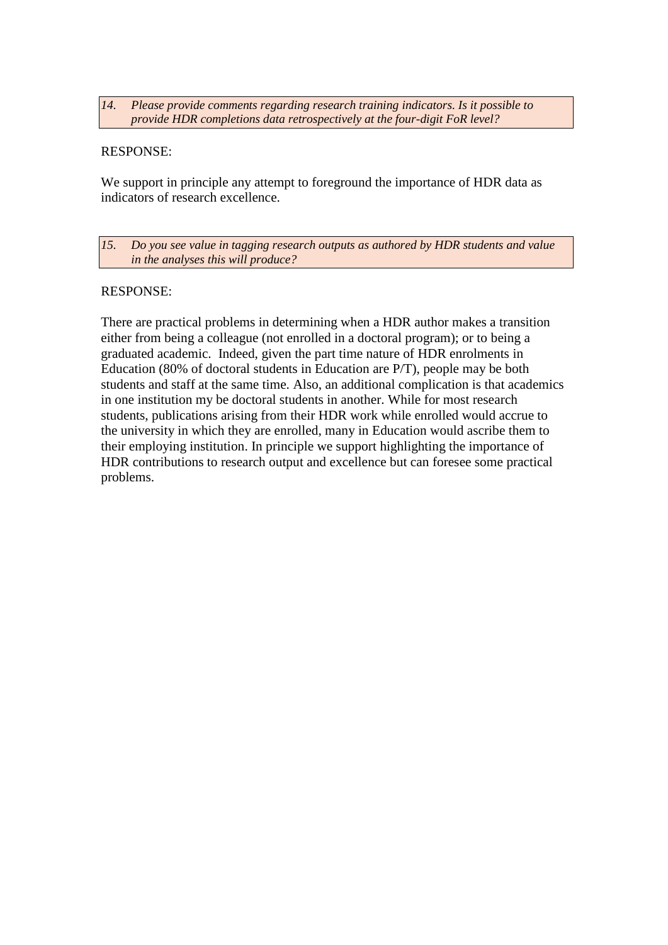#### *14. Please provide comments regarding research training indicators. Is it possible to provide HDR completions data retrospectively at the four-digit FoR level?*

### RESPONSE:

We support in principle any attempt to foreground the importance of HDR data as indicators of research excellence.

*15. Do you see value in tagging research outputs as authored by HDR students and value in the analyses this will produce?* 

#### RESPONSE:

There are practical problems in determining when a HDR author makes a transition either from being a colleague (not enrolled in a doctoral program); or to being a graduated academic. Indeed, given the part time nature of HDR enrolments in Education (80% of doctoral students in Education are P/T), people may be both students and staff at the same time. Also, an additional complication is that academics in one institution my be doctoral students in another. While for most research students, publications arising from their HDR work while enrolled would accrue to the university in which they are enrolled, many in Education would ascribe them to their employing institution. In principle we support highlighting the importance of HDR contributions to research output and excellence but can foresee some practical problems.